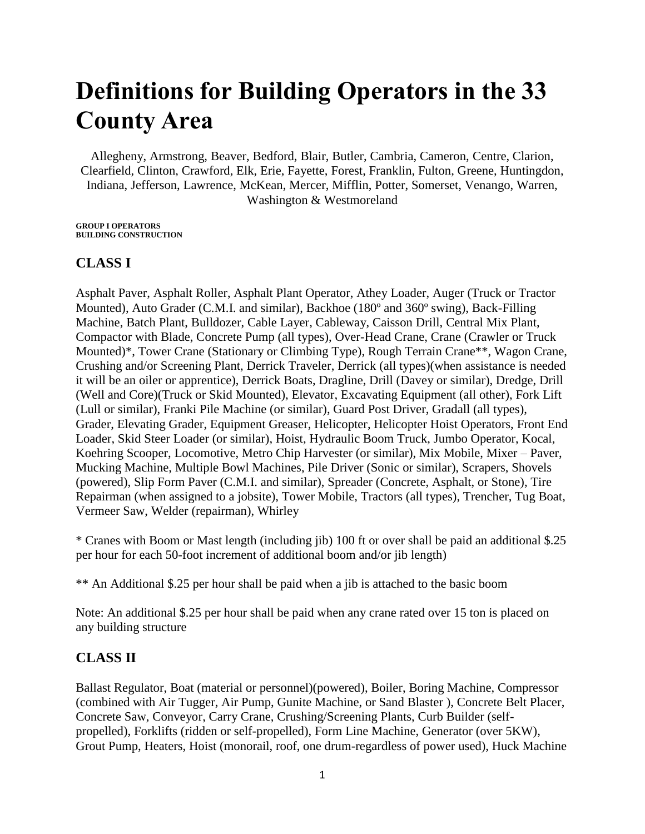## **Definitions for Building Operators in the 33 County Area**

Allegheny, Armstrong, Beaver, Bedford, Blair, Butler, Cambria, Cameron, Centre, Clarion, Clearfield, Clinton, Crawford, Elk, Erie, Fayette, Forest, Franklin, Fulton, Greene, Huntingdon, Indiana, Jefferson, Lawrence, McKean, Mercer, Mifflin, Potter, Somerset, Venango, Warren, Washington & Westmoreland

**GROUP I OPERATORS BUILDING CONSTRUCTION**

## **CLASS I**

Asphalt Paver, Asphalt Roller, Asphalt Plant Operator, Athey Loader, Auger (Truck or Tractor Mounted), Auto Grader (C.M.I. and similar), Backhoe (180º and 360º swing), Back-Filling Machine, Batch Plant, Bulldozer, Cable Layer, Cableway, Caisson Drill, Central Mix Plant, Compactor with Blade, Concrete Pump (all types), Over-Head Crane, Crane (Crawler or Truck Mounted)\*, Tower Crane (Stationary or Climbing Type), Rough Terrain Crane\*\*, Wagon Crane, Crushing and/or Screening Plant, Derrick Traveler, Derrick (all types)(when assistance is needed it will be an oiler or apprentice), Derrick Boats, Dragline, Drill (Davey or similar), Dredge, Drill (Well and Core)(Truck or Skid Mounted), Elevator, Excavating Equipment (all other), Fork Lift (Lull or similar), Franki Pile Machine (or similar), Guard Post Driver, Gradall (all types), Grader, Elevating Grader, Equipment Greaser, Helicopter, Helicopter Hoist Operators, Front End Loader, Skid Steer Loader (or similar), Hoist, Hydraulic Boom Truck, Jumbo Operator, Kocal, Koehring Scooper, Locomotive, Metro Chip Harvester (or similar), Mix Mobile, Mixer – Paver, Mucking Machine, Multiple Bowl Machines, Pile Driver (Sonic or similar), Scrapers, Shovels (powered), Slip Form Paver (C.M.I. and similar), Spreader (Concrete, Asphalt, or Stone), Tire Repairman (when assigned to a jobsite), Tower Mobile, Tractors (all types), Trencher, Tug Boat, Vermeer Saw, Welder (repairman), Whirley

\* Cranes with Boom or Mast length (including jib) 100 ft or over shall be paid an additional \$.25 per hour for each 50-foot increment of additional boom and/or jib length)

\*\* An Additional \$.25 per hour shall be paid when a jib is attached to the basic boom

Note: An additional \$.25 per hour shall be paid when any crane rated over 15 ton is placed on any building structure

## **CLASS II**

Ballast Regulator, Boat (material or personnel)(powered), Boiler, Boring Machine, Compressor (combined with Air Tugger, Air Pump, Gunite Machine, or Sand Blaster ), Concrete Belt Placer, Concrete Saw, Conveyor, Carry Crane, Crushing/Screening Plants, Curb Builder (selfpropelled), Forklifts (ridden or self-propelled), Form Line Machine, Generator (over 5KW), Grout Pump, Heaters, Hoist (monorail, roof, one drum-regardless of power used), Huck Machine